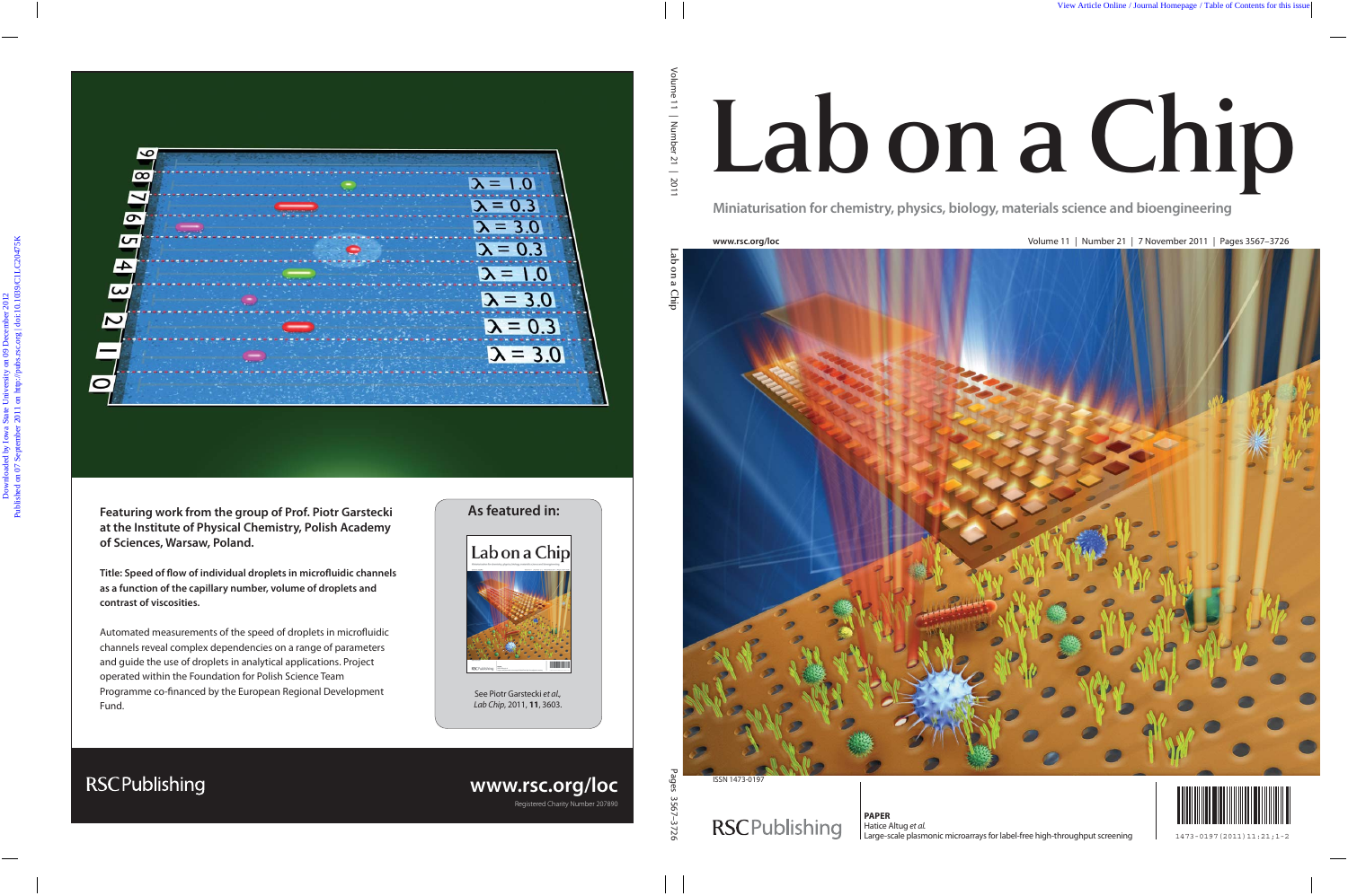# Lab on a Chip

**Miniaturisation for chemistry, physics, biology, materials science and bioengineering**

**www.rsc.org/loc** Volume 11 | Number 21 | 7 November 2011 | Pages 3567–3726



ISSN 1473-0197

## **RSCPublishing**



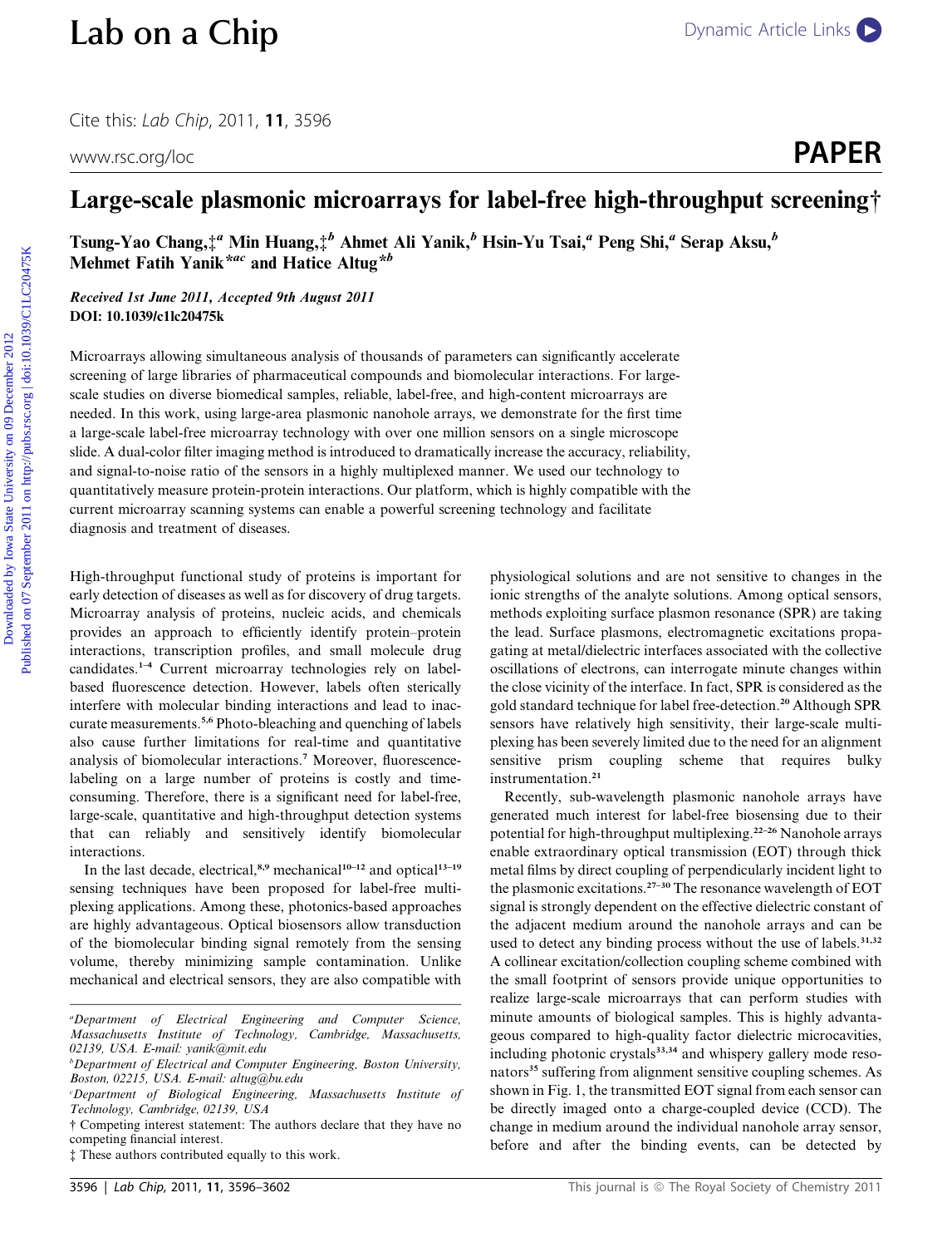Cite this: Lab Chip, 2011, <sup>11</sup>, 3596

### Large-scale plasmonic microarrays for label-free high-throughput screening†

Tsung-Yao Chang, $\ddagger^a$  Min Huang, $\ddagger^b$  Ahmet Ali Yanik, $^b$  Hsin-Yu Tsai, $^a$  Peng Shi, $^a$  Serap Aksu, $^b$ Mehmet Fatih Yanik\*<sup>ac</sup> and Hatice Altug\*b

Received 1st June 2011, Accepted 9th August 2011 DOI: 10.1039/c1lc20475k

Microarrays allowing simultaneous analysis of thousands of parameters can significantly accelerate screening of large libraries of pharmaceutical compounds and biomolecular interactions. For largescale studies on diverse biomedical samples, reliable, label-free, and high-content microarrays are needed. In this work, using large-area plasmonic nanohole arrays, we demonstrate for the first time a large-scale label-free microarray technology with over one million sensors on a single microscope slide. A dual-color filter imaging method is introduced to dramatically increase the accuracy, reliability, and signal-to-noise ratio of the sensors in a highly multiplexed manner. We used our technology to quantitatively measure protein-protein interactions. Our platform, which is highly compatible with the current microarray scanning systems can enable a powerful screening technology and facilitate diagnosis and treatment of diseases. **Lab on a Chip**<br>
Cite this *lab* Chip, 2011, 11, 3596<br>
www.csc.org/loc **PAPER**<br> **Earge-scale plasmonic microarrays for label-free high-throughput screening?**<br> **Earge-scale plasmonic microarrays for label-free high-through** 

High-throughput functional study of proteins is important for early detection of diseases as well as for discovery of drug targets. Microarray analysis of proteins, nucleic acids, and chemicals provides an approach to efficiently identify protein–protein interactions, transcription profiles, and small molecule drug candidates.1–4 Current microarray technologies rely on labelbased fluorescence detection. However, labels often sterically interfere with molecular binding interactions and lead to inaccurate measurements.<sup>5,6</sup> Photo-bleaching and quenching of labels also cause further limitations for real-time and quantitative analysis of biomolecular interactions.<sup>7</sup> Moreover, fluorescencelabeling on a large number of proteins is costly and timeconsuming. Therefore, there is a significant need for label-free, large-scale, quantitative and high-throughput detection systems that can reliably and sensitively identify biomolecular interactions.

In the last decade, electrical, $8,9$  mechanical<sup>10–12</sup> and optical<sup>13–19</sup> sensing techniques have been proposed for label-free multiplexing applications. Among these, photonics-based approaches are highly advantageous. Optical biosensors allow transduction of the biomolecular binding signal remotely from the sensing volume, thereby minimizing sample contamination. Unlike mechanical and electrical sensors, they are also compatible with

physiological solutions and are not sensitive to changes in the ionic strengths of the analyte solutions. Among optical sensors, methods exploiting surface plasmon resonance (SPR) are taking the lead. Surface plasmons, electromagnetic excitations propagating at metal/dielectric interfaces associated with the collective oscillations of electrons, can interrogate minute changes within the close vicinity of the interface. In fact, SPR is considered as the gold standard technique for label free-detection.<sup>20</sup> Although SPR sensors have relatively high sensitivity, their large-scale multiplexing has been severely limited due to the need for an alignment sensitive prism coupling scheme that requires bulky instrumentation.<sup>21</sup>

Recently, sub-wavelength plasmonic nanohole arrays have generated much interest for label-free biosensing due to their potential for high-throughput multiplexing.<sup>22-26</sup> Nanohole arrays enable extraordinary optical transmission (EOT) through thick metal films by direct coupling of perpendicularly incident light to the plasmonic excitations.27–30 The resonance wavelength of EOT signal is strongly dependent on the effective dielectric constant of the adjacent medium around the nanohole arrays and can be used to detect any binding process without the use of labels.<sup>31,32</sup> A collinear excitation/collection coupling scheme combined with the small footprint of sensors provide unique opportunities to realize large-scale microarrays that can perform studies with minute amounts of biological samples. This is highly advantageous compared to high-quality factor dielectric microcavities, including photonic crystals<sup>33,34</sup> and whispery gallery mode resonators<sup>35</sup> suffering from alignment sensitive coupling schemes. As shown in Fig. 1, the transmitted EOT signal from each sensor can be directly imaged onto a charge-coupled device (CCD). The change in medium around the individual nanohole array sensor, before and after the binding events, can be detected by

a Department of Electrical Engineering and Computer Science, Massachusetts Institute of Technology, Cambridge, Massachusetts, 02139, USA. E-mail: yanik@mit.edu

<sup>&</sup>lt;sup>b</sup>Department of Electrical and Computer Engineering, Boston University, Boston, 02215, USA. E-mail: altug@bu.edu

c Department of Biological Engineering, Massachusetts Institute of Technology, Cambridge, 02139, USA

<sup>†</sup> Competing interest statement: The authors declare that they have no competing financial interest.

<sup>‡</sup> These authors contributed equally to this work.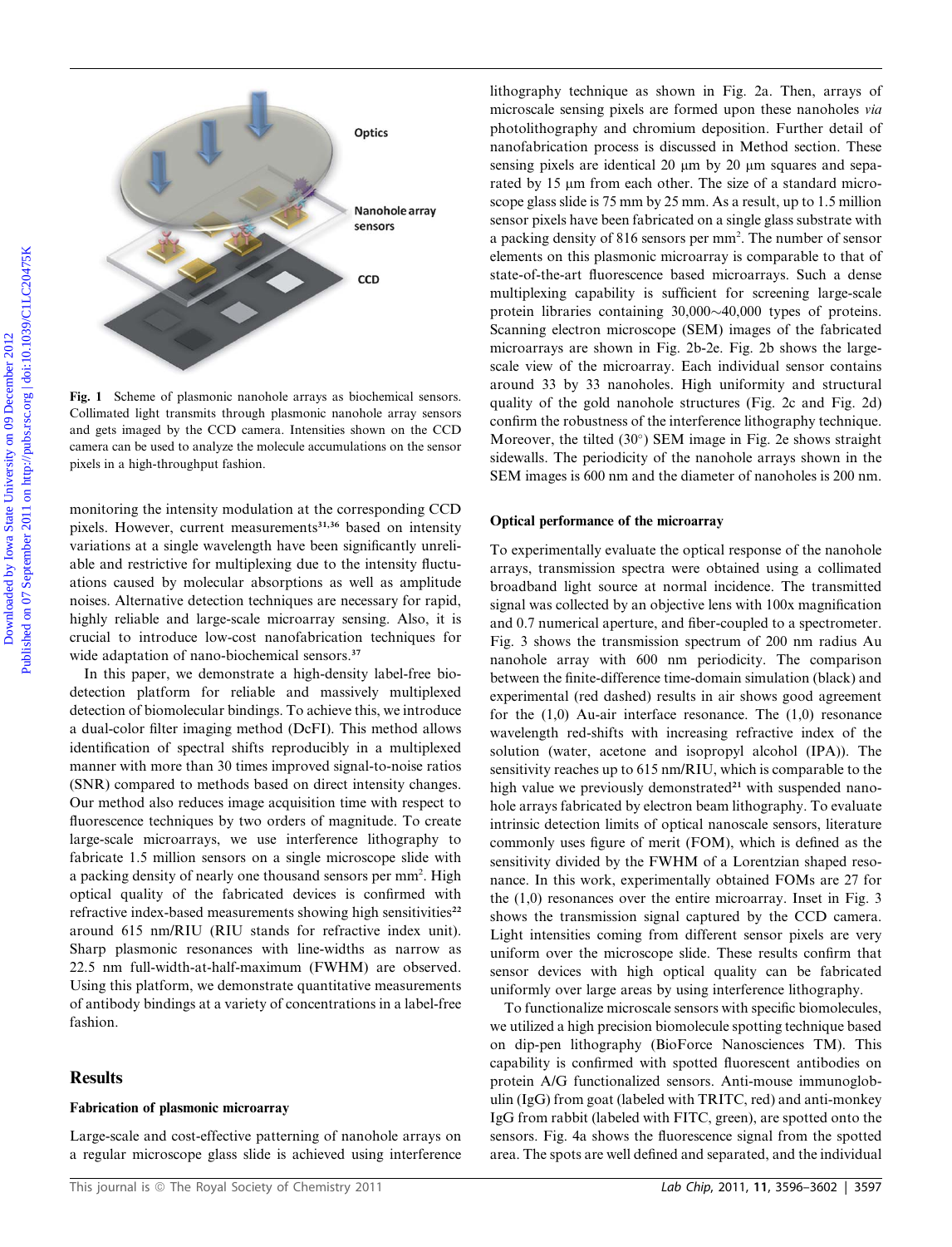

Fig. 1 Scheme of plasmonic nanohole arrays as biochemical sensors. Collimated light transmits through plasmonic nanohole array sensors and gets imaged by the CCD camera. Intensities shown on the CCD camera can be used to analyze the molecule accumulations on the sensor pixels in a high-throughput fashion.

monitoring the intensity modulation at the corresponding CCD pixels. However, current measurements<sup>31,36</sup> based on intensity variations at a single wavelength have been significantly unreliable and restrictive for multiplexing due to the intensity fluctuations caused by molecular absorptions as well as amplitude noises. Alternative detection techniques are necessary for rapid, highly reliable and large-scale microarray sensing. Also, it is crucial to introduce low-cost nanofabrication techniques for wide adaptation of nano-biochemical sensors.<sup>37</sup>

In this paper, we demonstrate a high-density label-free biodetection platform for reliable and massively multiplexed detection of biomolecular bindings. To achieve this, we introduce a dual-color filter imaging method (DcFI). This method allows identification of spectral shifts reproducibly in a multiplexed manner with more than 30 times improved signal-to-noise ratios (SNR) compared to methods based on direct intensity changes. Our method also reduces image acquisition time with respect to fluorescence techniques by two orders of magnitude. To create large-scale microarrays, we use interference lithography to fabricate 1.5 million sensors on a single microscope slide with a packing density of nearly one thousand sensors per mm<sup>2</sup>. High optical quality of the fabricated devices is confirmed with refractive index-based measurements showing high sensitivities<sup>22</sup> around 615 nm/RIU (RIU stands for refractive index unit). Sharp plasmonic resonances with line-widths as narrow as 22.5 nm full-width-at-half-maximum (FWHM) are observed. Using this platform, we demonstrate quantitative measurements of antibody bindings at a variety of concentrations in a label-free fashion.

#### **Results**

#### Fabrication of plasmonic microarray

Large-scale and cost-effective patterning of nanohole arrays on a regular microscope glass slide is achieved using interference

lithography technique as shown in Fig. 2a. Then, arrays of microscale sensing pixels are formed upon these nanoholes via photolithography and chromium deposition. Further detail of nanofabrication process is discussed in Method section. These sensing pixels are identical 20  $\mu$ m by 20  $\mu$ m squares and separated by 15 µm from each other. The size of a standard microscope glass slide is 75 mm by 25 mm. As a result, up to 1.5 million sensor pixels have been fabricated on a single glass substrate with a packing density of 816 sensors per mm<sup>2</sup>. The number of sensor elements on this plasmonic microarray is comparable to that of state-of-the-art fluorescence based microarrays. Such a dense multiplexing capability is sufficient for screening large-scale protein libraries containing  $30,000~40,000$  types of proteins. Scanning electron microscope (SEM) images of the fabricated microarrays are shown in Fig. 2b-2e. Fig. 2b shows the largescale view of the microarray. Each individual sensor contains around 33 by 33 nanoholes. High uniformity and structural quality of the gold nanohole structures (Fig. 2c and Fig. 2d) confirm the robustness of the interference lithography technique. Moreover, the tilted  $(30^{\circ})$  SEM image in Fig. 2e shows straight sidewalls. The periodicity of the nanohole arrays shown in the SEM images is 600 nm and the diameter of nanoholes is 200 nm. Distography tochinique as shown in Fig. 2a. Then, arrays of<br>
mercenal series prediction problems and the entropy and the entropy and the entropy and the entropy of the entropy of the entropy of the entropy of the entropy

#### Optical performance of the microarray

To experimentally evaluate the optical response of the nanohole arrays, transmission spectra were obtained using a collimated broadband light source at normal incidence. The transmitted signal was collected by an objective lens with 100x magnification and 0.7 numerical aperture, and fiber-coupled to a spectrometer. Fig. 3 shows the transmission spectrum of 200 nm radius Au nanohole array with 600 nm periodicity. The comparison between the finite-difference time-domain simulation (black) and experimental (red dashed) results in air shows good agreement for the  $(1,0)$  Au-air interface resonance. The  $(1,0)$  resonance wavelength red-shifts with increasing refractive index of the solution (water, acetone and isopropyl alcohol (IPA)). The sensitivity reaches up to 615 nm/RIU, which is comparable to the high value we previously demonstrated<sup>21</sup> with suspended nanohole arrays fabricated by electron beam lithography. To evaluate intrinsic detection limits of optical nanoscale sensors, literature commonly uses figure of merit (FOM), which is defined as the sensitivity divided by the FWHM of a Lorentzian shaped resonance. In this work, experimentally obtained FOMs are 27 for the (1,0) resonances over the entire microarray. Inset in Fig. 3 shows the transmission signal captured by the CCD camera. Light intensities coming from different sensor pixels are very uniform over the microscope slide. These results confirm that sensor devices with high optical quality can be fabricated uniformly over large areas by using interference lithography.

To functionalize microscale sensors with specific biomolecules, we utilized a high precision biomolecule spotting technique based on dip-pen lithography (BioForce Nanosciences TM). This capability is confirmed with spotted fluorescent antibodies on protein A/G functionalized sensors. Anti-mouse immunoglobulin (IgG) from goat (labeled with TRITC, red) and anti-monkey IgG from rabbit (labeled with FITC, green), are spotted onto the sensors. Fig. 4a shows the fluorescence signal from the spotted area. The spots are well defined and separated, and the individual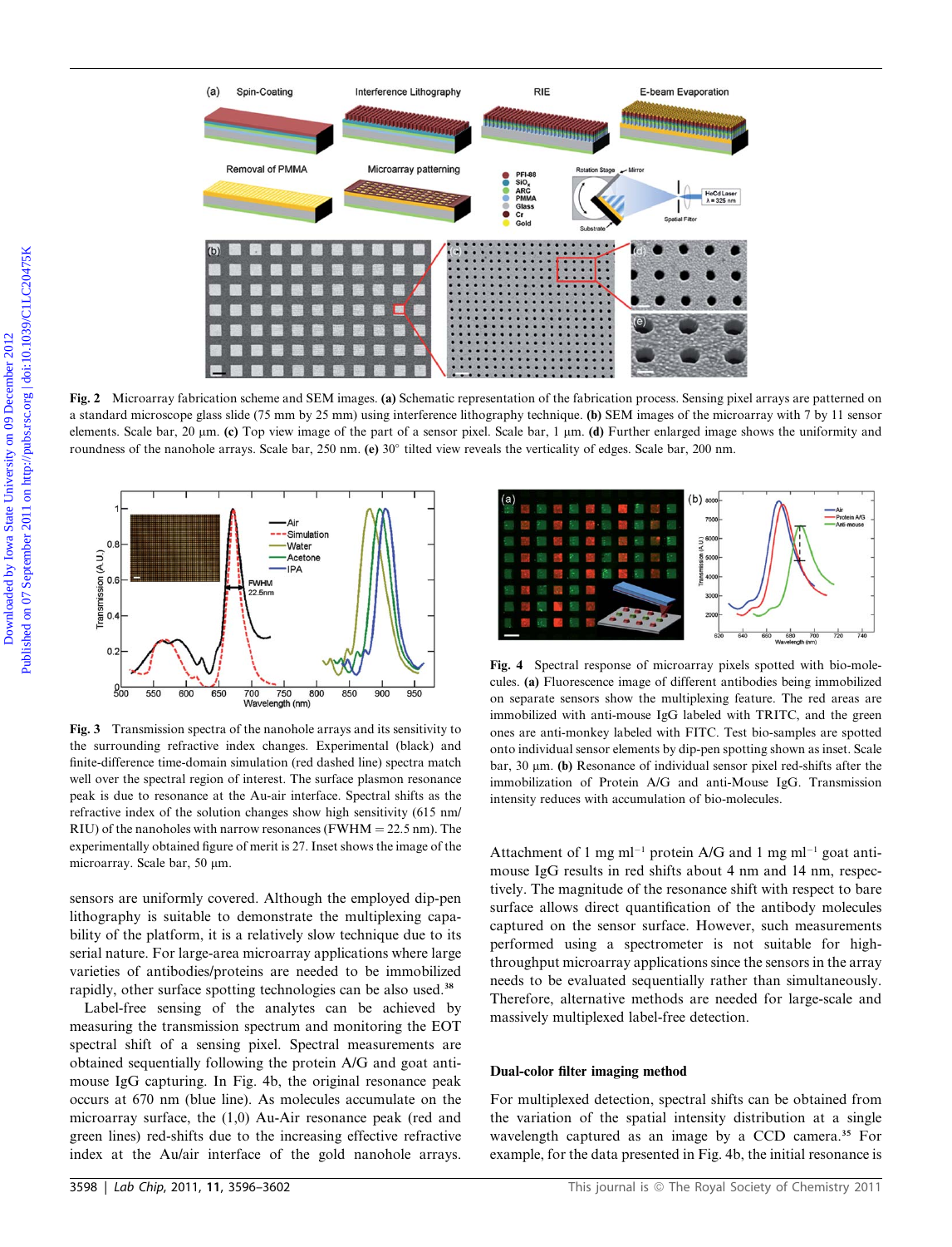

Fig. 2 Microarray fabrication scheme and SEM images. (a) Schematic representation of the fabrication process. Sensing pixel arrays are patterned on a standard microscope glass slide (75 mm by 25 mm) using interference lithography technique. (b) SEM images of the microarray with 7 by 11 sensor elements. Scale bar, 20  $\mu$ m. (c) Top view image of the part of a sensor pixel. Scale bar, 1  $\mu$ m. (d) Further enlarged image shows the uniformity and roundness of the nanohole arrays. Scale bar, 250 nm. (e)  $30^\circ$  tilted view reveals the verticality of edges. Scale bar, 200 nm.



Fig. 3 Transmission spectra of the nanohole arrays and its sensitivity to the surrounding refractive index changes. Experimental (black) and finite-difference time-domain simulation (red dashed line) spectra match well over the spectral region of interest. The surface plasmon resonance peak is due to resonance at the Au-air interface. Spectral shifts as the refractive index of the solution changes show high sensitivity (615 nm/ RIU) of the nanoholes with narrow resonances (FWHM  $=$  22.5 nm). The experimentally obtained figure of merit is 27. Inset shows the image of the microarray. Scale bar, 50 µm.

sensors are uniformly covered. Although the employed dip-pen lithography is suitable to demonstrate the multiplexing capability of the platform, it is a relatively slow technique due to its serial nature. For large-area microarray applications where large varieties of antibodies/proteins are needed to be immobilized rapidly, other surface spotting technologies can be also used.<sup>38</sup>

Label-free sensing of the analytes can be achieved by measuring the transmission spectrum and monitoring the EOT spectral shift of a sensing pixel. Spectral measurements are obtained sequentially following the protein A/G and goat antimouse IgG capturing. In Fig. 4b, the original resonance peak occurs at 670 nm (blue line). As molecules accumulate on the microarray surface, the (1,0) Au-Air resonance peak (red and green lines) red-shifts due to the increasing effective refractive index at the Au/air interface of the gold nanohole arrays.



Fig. 4 Spectral response of microarray pixels spotted with bio-molecules. (a) Fluorescence image of different antibodies being immobilized on separate sensors show the multiplexing feature. The red areas are immobilized with anti-mouse IgG labeled with TRITC, and the green ones are anti-monkey labeled with FITC. Test bio-samples are spotted onto individual sensor elements by dip-pen spotting shown as inset. Scale bar, 30  $\mu$ m. (b) Resonance of individual sensor pixel red-shifts after the immobilization of Protein A/G and anti-Mouse IgG. Transmission intensity reduces with accumulation of bio-molecules.

Attachment of 1 mg ml<sup>-1</sup> protein A/G and 1 mg ml<sup>-1</sup> goat antimouse IgG results in red shifts about 4 nm and 14 nm, respectively. The magnitude of the resonance shift with respect to bare surface allows direct quantification of the antibody molecules captured on the sensor surface. However, such measurements performed using a spectrometer is not suitable for highthroughput microarray applications since the sensors in the array needs to be evaluated sequentially rather than simultaneously. Therefore, alternative methods are needed for large-scale and massively multiplexed label-free detection.

#### Dual-color filter imaging method

For multiplexed detection, spectral shifts can be obtained from the variation of the spatial intensity distribution at a single wavelength captured as an image by a CCD camera.<sup>35</sup> For example, for the data presented in Fig. 4b, the initial resonance is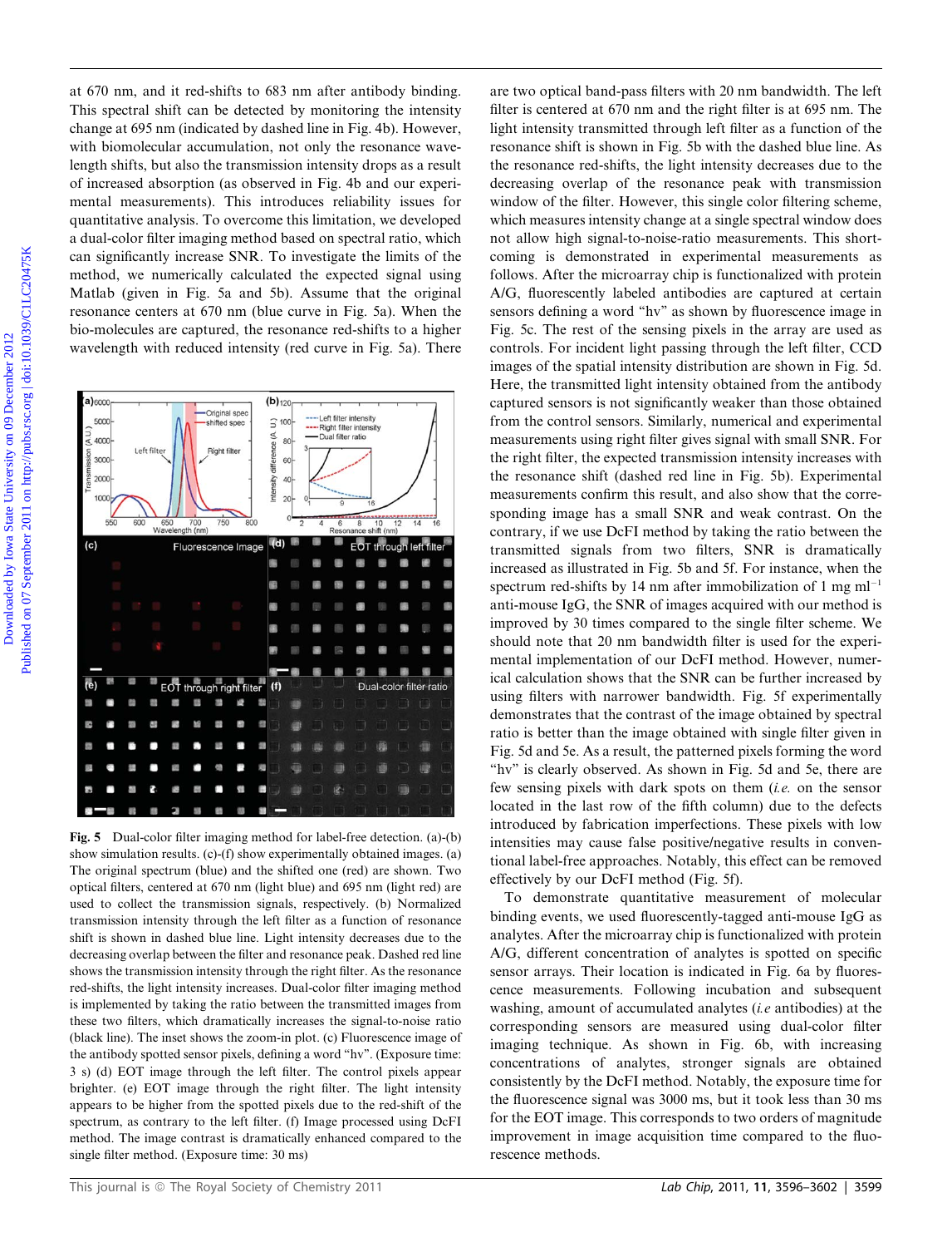at 670 nm, and it red-shifts to 683 nm after antibody binding. This spectral shift can be detected by monitoring the intensity change at 695 nm (indicated by dashed line in Fig. 4b). However, with biomolecular accumulation, not only the resonance wavelength shifts, but also the transmission intensity drops as a result of increased absorption (as observed in Fig. 4b and our experimental measurements). This introduces reliability issues for quantitative analysis. To overcome this limitation, we developed a dual-color filter imaging method based on spectral ratio, which can significantly increase SNR. To investigate the limits of the method, we numerically calculated the expected signal using Matlab (given in Fig. 5a and 5b). Assume that the original resonance centers at 670 nm (blue curve in Fig. 5a). When the bio-molecules are captured, the resonance red-shifts to a higher wavelength with reduced intensity (red curve in Fig. 5a). There



Fig. 5 Dual-color filter imaging method for label-free detection. (a)-(b) show simulation results. (c)-(f) show experimentally obtained images. (a) The original spectrum (blue) and the shifted one (red) are shown. Two optical filters, centered at 670 nm (light blue) and 695 nm (light red) are used to collect the transmission signals, respectively. (b) Normalized transmission intensity through the left filter as a function of resonance shift is shown in dashed blue line. Light intensity decreases due to the decreasing overlap between the filter and resonance peak. Dashed red line shows the transmission intensity through the right filter. As the resonance red-shifts, the light intensity increases. Dual-color filter imaging method is implemented by taking the ratio between the transmitted images from these two filters, which dramatically increases the signal-to-noise ratio (black line). The inset shows the zoom-in plot. (c) Fluorescence image of the antibody spotted sensor pixels, defining a word ''hv''. (Exposure time: 3 s) (d) EOT image through the left filter. The control pixels appear brighter. (e) EOT image through the right filter. The light intensity appears to be higher from the spotted pixels due to the red-shift of the spectrum, as contrary to the left filter. (f) Image processed using DcFI method. The image contrast is dramatically enhanced compared to the single filter method. (Exposure time: 30 ms)

are two optical band-pass filters with 20 nm bandwidth. The left filter is centered at 670 nm and the right filter is at 695 nm. The light intensity transmitted through left filter as a function of the resonance shift is shown in Fig. 5b with the dashed blue line. As the resonance red-shifts, the light intensity decreases due to the decreasing overlap of the resonance peak with transmission window of the filter. However, this single color filtering scheme, which measures intensity change at a single spectral window does not allow high signal-to-noise-ratio measurements. This shortcoming is demonstrated in experimental measurements as follows. After the microarray chip is functionalized with protein A/G, fluorescently labeled antibodies are captured at certain sensors defining a word ''hv'' as shown by fluorescence image in Fig. 5c. The rest of the sensing pixels in the array are used as controls. For incident light passing through the left filter, CCD images of the spatial intensity distribution are shown in Fig. 5d. Here, the transmitted light intensity obtained from the antibody captured sensors is not significantly weaker than those obtained from the control sensors. Similarly, numerical and experimental measurements using right filter gives signal with small SNR. For the right filter, the expected transmission intensity increases with the resonance shift (dashed red line in Fig. 5b). Experimental measurements confirm this result, and also show that the corresponding image has a small SNR and weak contrast. On the contrary, if we use DcFI method by taking the ratio between the transmitted signals from two filters, SNR is dramatically increased as illustrated in Fig. 5b and 5f. For instance, when the spectrum red-shifts by 14 nm after immobilization of 1 mg  $ml^{-1}$ anti-mouse IgG, the SNR of images acquired with our method is improved by 30 times compared to the single filter scheme. We should note that 20 nm bandwidth filter is used for the experimental implementation of our DcFI method. However, numerical calculation shows that the SNR can be further increased by using filters with narrower bandwidth. Fig. 5f experimentally demonstrates that the contrast of the image obtained by spectral ratio is better than the image obtained with single filter given in Fig. 5d and 5e. As a result, the patterned pixels forming the word "hv" is clearly observed. As shown in Fig. 5d and 5e, there are few sensing pixels with dark spots on them (i.e. on the sensor located in the last row of the fifth column) due to the defects introduced by fabrication imperfections. These pixels with low intensities may cause false positive/negative results in conventional label-free approaches. Notably, this effect can be removed effectively by our DcFI method (Fig. 5f). of CO can, and it red-shift to 633 am after antibody binding. are two optical band-pass filters with  $D$  am bandwidth. The change of My resolution is the september 2012 Published for the change of My resolution is the sep

> To demonstrate quantitative measurement of molecular binding events, we used fluorescently-tagged anti-mouse IgG as analytes. After the microarray chip is functionalized with protein A/G, different concentration of analytes is spotted on specific sensor arrays. Their location is indicated in Fig. 6a by fluorescence measurements. Following incubation and subsequent washing, amount of accumulated analytes *(i.e* antibodies) at the corresponding sensors are measured using dual-color filter imaging technique. As shown in Fig. 6b, with increasing concentrations of analytes, stronger signals are obtained consistently by the DcFI method. Notably, the exposure time for the fluorescence signal was 3000 ms, but it took less than 30 ms for the EOT image. This corresponds to two orders of magnitude improvement in image acquisition time compared to the fluorescence methods.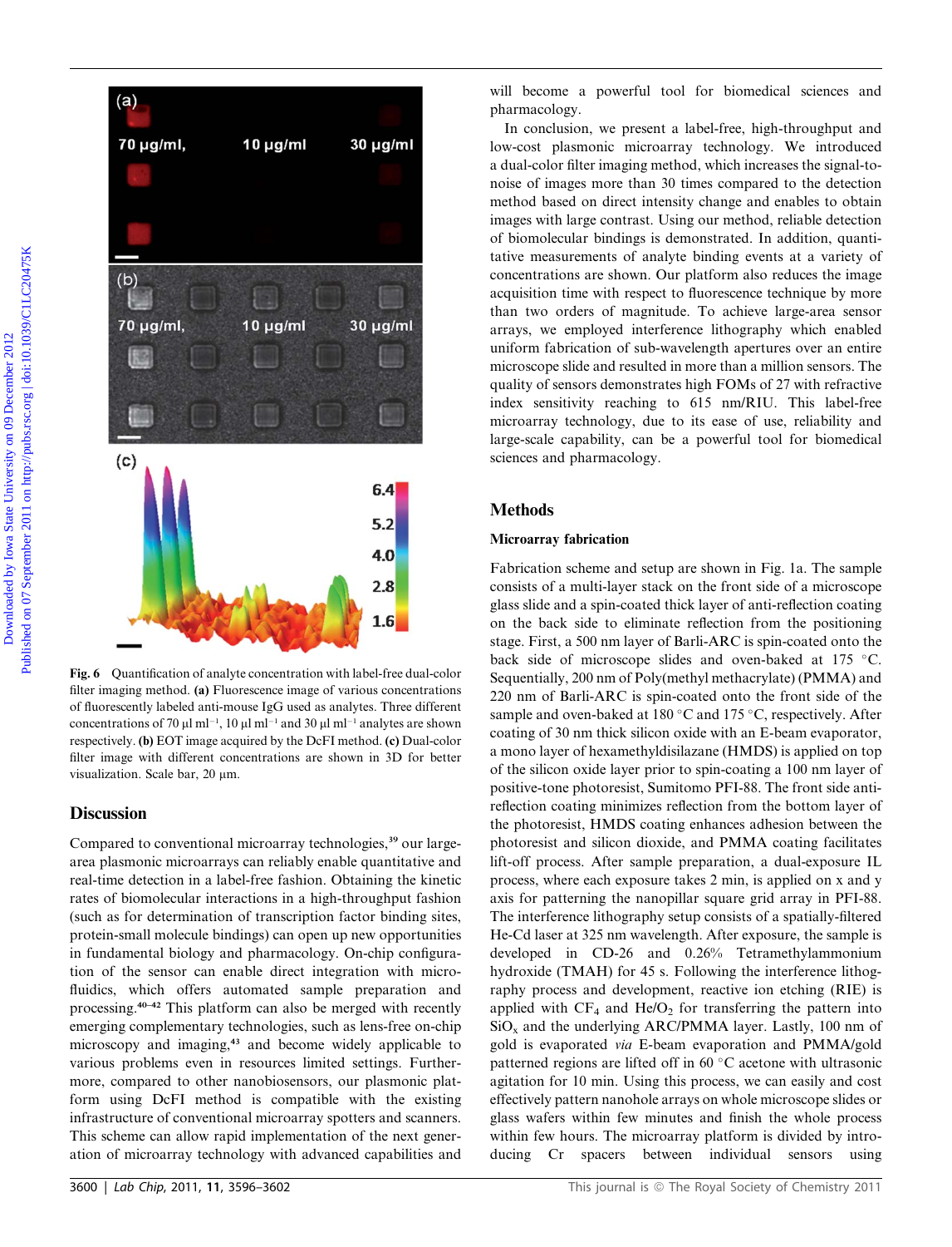

Fig. 6 Quantification of analyte concentration with label-free dual-color filter imaging method. (a) Fluorescence image of various concentrations of fluorescently labeled anti-mouse IgG used as analytes. Three different concentrations of 70  $\mu$ l ml<sup>-1</sup>, 10  $\mu$ l ml<sup>-1</sup> and 30  $\mu$ l ml<sup>-1</sup> analytes are shown respectively. (b) EOT image acquired by the DcFI method. (c) Dual-color filter image with different concentrations are shown in 3D for better visualization. Scale bar, 20 um.

#### **Discussion**

Compared to conventional microarray technologies,<sup>39</sup> our largearea plasmonic microarrays can reliably enable quantitative and real-time detection in a label-free fashion. Obtaining the kinetic rates of biomolecular interactions in a high-throughput fashion (such as for determination of transcription factor binding sites, protein-small molecule bindings) can open up new opportunities in fundamental biology and pharmacology. On-chip configuration of the sensor can enable direct integration with microfluidics, which offers automated sample preparation and processing.40–42 This platform can also be merged with recently emerging complementary technologies, such as lens-free on-chip microscopy and imaging,<sup>43</sup> and become widely applicable to various problems even in resources limited settings. Furthermore, compared to other nanobiosensors, our plasmonic platform using DcFI method is compatible with the existing infrastructure of conventional microarray spotters and scanners. This scheme can allow rapid implementation of the next generation of microarray technology with advanced capabilities and

In conclusion, we present a label-free, high-throughput and low-cost plasmonic microarray technology. We introduced a dual-color filter imaging method, which increases the signal-tonoise of images more than 30 times compared to the detection method based on direct intensity change and enables to obtain images with large contrast. Using our method, reliable detection of biomolecular bindings is demonstrated. In addition, quantitative measurements of analyte binding events at a variety of concentrations are shown. Our platform also reduces the image acquisition time with respect to fluorescence technique by more than two orders of magnitude. To achieve large-area sensor arrays, we employed interference lithography which enabled uniform fabrication of sub-wavelength apertures over an entire microscope slide and resulted in more than a million sensors. The quality of sensors demonstrates high FOMs of 27 with refractive index sensitivity reaching to 615 nm/RIU. This label-free microarray technology, due to its ease of use, reliability and large-scale capability, can be a powerful tool for biomedical sciences and pharmacology.

#### **Methods**

#### Microarray fabrication

Fabrication scheme and setup are shown in Fig. 1a. The sample consists of a multi-layer stack on the front side of a microscope glass slide and a spin-coated thick layer of anti-reflection coating on the back side to eliminate reflection from the positioning stage. First, a 500 nm layer of Barli-ARC is spin-coated onto the back side of microscope slides and oven-baked at 175 °C. Sequentially, 200 nm of Poly(methyl methacrylate) (PMMA) and 220 nm of Barli-ARC is spin-coated onto the front side of the sample and oven-baked at 180 $\degree$ C and 175 $\degree$ C, respectively. After coating of 30 nm thick silicon oxide with an E-beam evaporator, a mono layer of hexamethyldisilazane (HMDS) is applied on top of the silicon oxide layer prior to spin-coating a 100 nm layer of positive-tone photoresist, Sumitomo PFI-88. The front side antireflection coating minimizes reflection from the bottom layer of the photoresist, HMDS coating enhances adhesion between the photoresist and silicon dioxide, and PMMA coating facilitates lift-off process. After sample preparation, a dual-exposure IL process, where each exposure takes 2 min, is applied on x and y axis for patterning the nanopillar square grid array in PFI-88. The interference lithography setup consists of a spatially-filtered He-Cd laser at 325 nm wavelength. After exposure, the sample is developed in CD-26 and 0.26% Tetramethylammonium hydroxide (TMAH) for 45 s. Following the interference lithography process and development, reactive ion etching (RIE) is applied with  $CF_4$  and  $He/O_2$  for transferring the pattern into  $SiO<sub>x</sub>$  and the underlying ARC/PMMA layer. Lastly, 100 nm of gold is evaporated via E-beam evaporation and PMMA/gold patterned regions are lifted off in  $60^{\circ}$ C acetone with ultrasonic agitation for 10 min. Using this process, we can easily and cost effectively pattern nanohole arrays on whole microscope slides or glass wafers within few minutes and finish the whole process within few hours. The microarray platform is divided by introducing Cr spacers between individual sensors using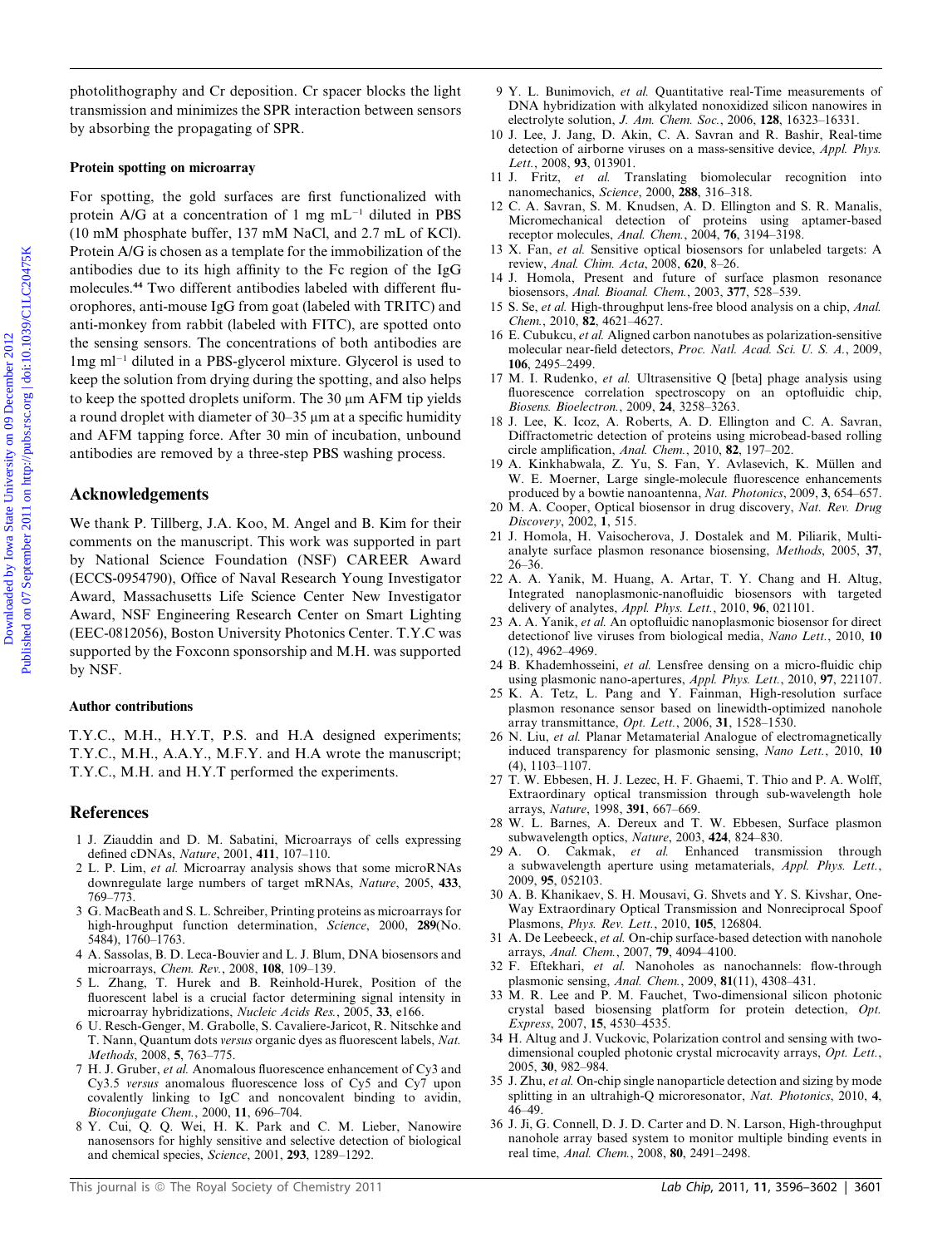photolithography and Cr deposition. Cr spacer blocks the light transmission and minimizes the SPR interaction between sensors by absorbing the propagating of SPR.

#### Protein spotting on microarray

For spotting, the gold surfaces are first functionalized with protein A/G at a concentration of 1 mg  $mL^{-1}$  diluted in PBS (10 mM phosphate buffer, 137 mM NaCl, and 2.7 mL of KCl). Protein A/G is chosen as a template for the immobilization of the antibodies due to its high affinity to the Fc region of the IgG molecules.<sup>44</sup> Two different antibodies labeled with different fluorophores, anti-mouse IgG from goat (labeled with TRITC) and anti-monkey from rabbit (labeled with FITC), are spotted onto the sensing sensors. The concentrations of both antibodies are  $1mg$  ml<sup>-1</sup> diluted in a PBS-glycerol mixture. Glycerol is used to keep the solution from drying during the spotting, and also helps to keep the spotted droplets uniform. The  $30 \mu m$  AFM tip yields a round droplet with diameter of  $30-35 \mu m$  at a specific humidity and AFM tapping force. After 30 min of incubation, unbound antibodies are removed by a three-step PBS washing process. photolitiography and C deposition. C: space block at highler  $9$  V. 1. Businessed,  $\sigma$  at Octomber 2012 Published by Ioway State University on the December 2012 Published on the Basic Control of Basic Control of Basic Co

#### Acknowledgements

We thank P. Tillberg, J.A. Koo, M. Angel and B. Kim for their comments on the manuscript. This work was supported in part by National Science Foundation (NSF) CAREER Award (ECCS-0954790), Office of Naval Research Young Investigator Award, Massachusetts Life Science Center New Investigator Award, NSF Engineering Research Center on Smart Lighting (EEC-0812056), Boston University Photonics Center. T.Y.C was supported by the Foxconn sponsorship and M.H. was supported by NSF.

#### Author contributions

T.Y.C., M.H., H.Y.T, P.S. and H.A designed experiments; T.Y.C., M.H., A.A.Y., M.F.Y. and H.A wrote the manuscript; T.Y.C., M.H. and H.Y.T performed the experiments.

#### References

- 1 J. Ziauddin and D. M. Sabatini, Microarrays of cells expressing defined cDNAs, Nature, 2001, 411, 107–110.
- 2 L. P. Lim, et al. Microarray analysis shows that some microRNAs downregulate large numbers of target mRNAs, Nature, 2005, 433, 769–773.
- 3 G. MacBeath and S. L. Schreiber, Printing proteins as microarrays for high-hroughput function determination, Science, 2000, 289(No. 5484), 1760–1763.
- 4 A. Sassolas, B. D. Leca-Bouvier and L. J. Blum, DNA biosensors and microarrays, Chem. Rev., 2008, 108, 109–139.
- 5 L. Zhang, T. Hurek and B. Reinhold-Hurek, Position of the fluorescent label is a crucial factor determining signal intensity in microarray hybridizations, Nucleic Acids Res., 2005, 33, e166.
- 6 U. Resch-Genger, M. Grabolle, S. Cavaliere-Jaricot, R. Nitschke and T. Nann, Quantum dots versus organic dyes as fluorescent labels, Nat. Methods, 2008, 5, 763–775.
- 7 H. J. Gruber, et al. Anomalous fluorescence enhancement of Cy3 and Cy3.5 versus anomalous fluorescence loss of Cy5 and Cy7 upon covalently linking to IgC and noncovalent binding to avidin, Bioconjugate Chem., 2000, 11, 696–704.
- 8 Y. Cui, Q. Q. Wei, H. K. Park and C. M. Lieber, Nanowire nanosensors for highly sensitive and selective detection of biological and chemical species, Science, 2001, 293, 1289–1292.
- 9 Y. L. Bunimovich, et al. Quantitative real-Time measurements of DNA hybridization with alkylated nonoxidized silicon nanowires in electrolyte solution, J. Am. Chem. Soc., 2006, 128, 16323–16331.
- 10 J. Lee, J. Jang, D. Akin, C. A. Savran and R. Bashir, Real-time detection of airborne viruses on a mass-sensitive device, Appl. Phys. Lett., 2008, 93, 013901.
- 11 J. Fritz, et al. Translating biomolecular recognition into nanomechanics, Science, 2000, 288, 316–318.
- 12 C. A. Savran, S. M. Knudsen, A. D. Ellington and S. R. Manalis, Micromechanical detection of proteins using aptamer-based receptor molecules, Anal. Chem., 2004, 76, 3194-3198.
- 13 X. Fan, et al. Sensitive optical biosensors for unlabeled targets: A review, Anal. Chim. Acta, 2008, 620, 8–26.
- 14 J. Homola, Present and future of surface plasmon resonance biosensors, Anal. Bioanal. Chem., 2003, 377, 528–539.
- 15 S. Se, et al. High-throughput lens-free blood analysis on a chip, Anal. Chem., 2010, 82, 4621–4627.
- 16 E. Cubukcu, et al. Aligned carbon nanotubes as polarization-sensitive molecular near-field detectors, Proc. Natl. Acad. Sci. U. S. A., 2009, 106, 2495–2499.
- 17 M. I. Rudenko, et al. Ultrasensitive  $Q$  [beta] phage analysis using fluorescence correlation spectroscopy on an optofluidic chip, Biosens. Bioelectron., 2009, 24, 3258–3263.
- 18 J. Lee, K. Icoz, A. Roberts, A. D. Ellington and C. A. Savran, Diffractometric detection of proteins using microbead-based rolling circle amplification, Anal. Chem., 2010, 82, 197–202.
- 19 A. Kinkhabwala, Z. Yu, S. Fan, Y. Avlasevich, K. Müllen and W. E. Moerner, Large single-molecule fluorescence enhancements produced by a bowtie nanoantenna, Nat. Photonics, 2009, 3, 654–657.
- 20 M. A. Cooper, Optical biosensor in drug discovery, Nat. Rev. Drug Discovery, 2002, 1, 515.
- 21 J. Homola, H. Vaisocherova, J. Dostalek and M. Piliarik, Multianalyte surface plasmon resonance biosensing, Methods, 2005, 37, 26–36.
- 22 A. A. Yanik, M. Huang, A. Artar, T. Y. Chang and H. Altug, Integrated nanoplasmonic-nanofluidic biosensors with targeted delivery of analytes, Appl. Phys. Lett., 2010, 96, 021101.
- 23 A. A. Yanik, et al. An optofluidic nanoplasmonic biosensor for direct detectionof live viruses from biological media, Nano Lett., 2010, 10 (12), 4962–4969.
- 24 B. Khademhosseini, et al. Lensfree densing on a micro-fluidic chip using plasmonic nano-apertures, Appl. Phys. Lett., 2010, 97, 221107.
- 25 K. A. Tetz, L. Pang and Y. Fainman, High-resolution surface plasmon resonance sensor based on linewidth-optimized nanohole array transmittance, Opt. Lett., 2006, 31, 1528–1530.
- 26 N. Liu, et al. Planar Metamaterial Analogue of electromagnetically induced transparency for plasmonic sensing, Nano Lett., 2010, 10 (4), 1103–1107.
- 27 T. W. Ebbesen, H. J. Lezec, H. F. Ghaemi, T. Thio and P. A. Wolff, Extraordinary optical transmission through sub-wavelength hole arrays, Nature, 1998, 391, 667–669.
- 28 W. L. Barnes, A. Dereux and T. W. Ebbesen, Surface plasmon subwavelength optics, Nature, 2003, 424, 824–830.
- 29 A. O. Cakmak, et al. Enhanced transmission through a subwavelength aperture using metamaterials, Appl. Phys. Lett., 2009, 95, 052103.
- 30 A. B. Khanikaev, S. H. Mousavi, G. Shvets and Y. S. Kivshar, One-Way Extraordinary Optical Transmission and Nonreciprocal Spoof Plasmons, Phys. Rev. Lett., 2010, 105, 126804.
- 31 A. De Leebeeck, et al. On-chip surface-based detection with nanohole arrays, Anal. Chem., 2007, 79, 4094–4100.
- 32 F. Eftekhari, et al. Nanoholes as nanochannels: flow-through plasmonic sensing, Anal. Chem., 2009, 81(11), 4308–431.
- 33 M. R. Lee and P. M. Fauchet, Two-dimensional silicon photonic crystal based biosensing platform for protein detection, Opt. Express, 2007, 15, 4530–4535.
- 34 H. Altug and J. Vuckovic, Polarization control and sensing with twodimensional coupled photonic crystal microcavity arrays, Opt. Lett., 2005, 30, 982–984.
- 35 J. Zhu, et al. On-chip single nanoparticle detection and sizing by mode splitting in an ultrahigh-Q microresonator, Nat. Photonics, 2010, 4, 46–49.
- 36 J. Ji, G. Connell, D. J. D. Carter and D. N. Larson, High-throughput nanohole array based system to monitor multiple binding events in real time, Anal. Chem., 2008, 80, 2491–2498.